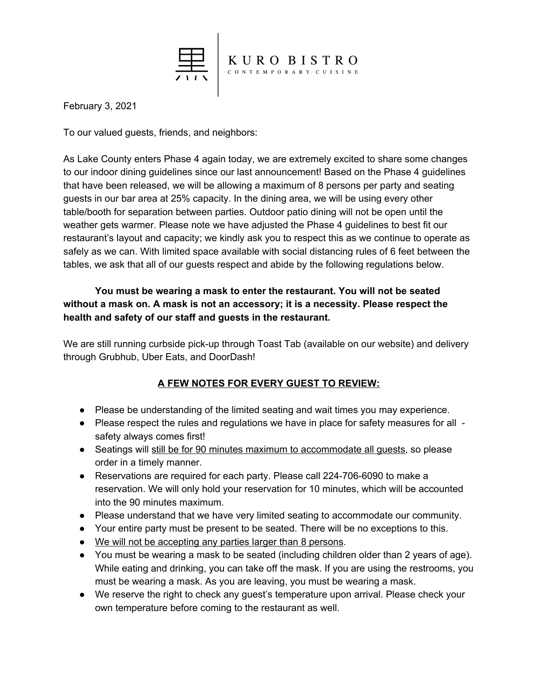

February 3, 2021

To our valued guests, friends, and neighbors:

As Lake County enters Phase 4 again today, we are extremely excited to share some changes to our indoor dining guidelines since our last announcement! Based on the Phase 4 guidelines that have been released, we will be allowing a maximum of 8 persons per party and seating guests in our bar area at 25% capacity. In the dining area, we will be using every other table/booth for separation between parties. Outdoor patio dining will not be open until the weather gets warmer. Please note we have adjusted the Phase 4 guidelines to best fit our restaurant's layout and capacity; we kindly ask you to respect this as we continue to operate as safely as we can. With limited space available with social distancing rules of 6 feet between the tables, we ask that all of our guests respect and abide by the following regulations below.

## **You must be wearing a mask to enter the restaurant. You will not be seated without a mask on. A mask is not an accessory; it is a necessity. Please respect the health and safety of our staff and guests in the restaurant.**

We are still running curbside pick-up through Toast Tab (available on our website) and delivery through Grubhub, Uber Eats, and DoorDash!

## **A FEW NOTES FOR EVERY GUEST TO REVIEW:**

- Please be understanding of the limited seating and wait times you may experience.
- Please respect the rules and regulations we have in place for safety measures for all safety always comes first!
- Seatings will still be for 90 minutes maximum to accommodate all quests, so please order in a timely manner.
- Reservations are required for each party. Please call 224-706-6090 to make a reservation. We will only hold your reservation for 10 minutes, which will be accounted into the 90 minutes maximum.
- Please understand that we have very limited seating to accommodate our community.
- Your entire party must be present to be seated. There will be no exceptions to this.
- We will not be accepting any parties larger than 8 persons.
- You must be wearing a mask to be seated (including children older than 2 years of age). While eating and drinking, you can take off the mask. If you are using the restrooms, you must be wearing a mask. As you are leaving, you must be wearing a mask.
- We reserve the right to check any guest's temperature upon arrival. Please check your own temperature before coming to the restaurant as well.